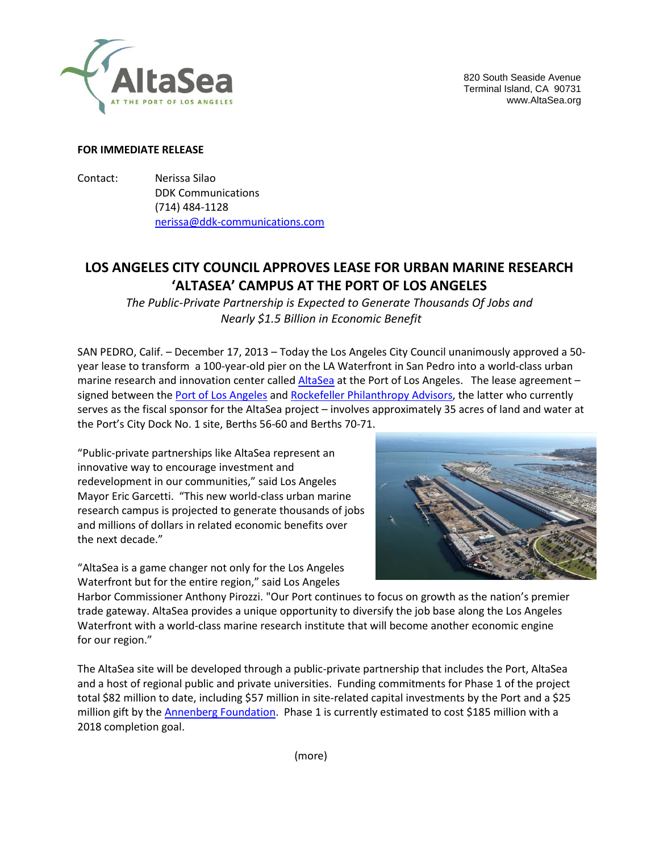

820 South Seaside Avenue Terminal Island, CA 90731 www.AltaSea.org

### **FOR IMMEDIATE RELEASE**

Contact: Nerissa Silao DDK Communications (714) 484-1128 [nerissa@ddk-communications.com](mailto:nerissa@ddk-communications.com)

# **LOS ANGELES CITY COUNCIL APPROVES LEASE FOR URBAN MARINE RESEARCH 'ALTASEA' CAMPUS AT THE PORT OF LOS ANGELES**

*The Public-Private Partnership is Expected to Generate Thousands Of Jobs and Nearly \$1.5 Billion in Economic Benefit*

SAN PEDRO, Calif. – December 17, 2013 – Today the Los Angeles City Council unanimously approved a 50 year lease to transform a 100-year-old pier on the LA Waterfront in San Pedro into a world-class urban marine research and innovation center called [AltaSea](http://www.altasea.org/) at the Port of Los Angeles. The lease agreement signed between the [Port of Los Angeles](http://portoflosangeles.org/) and [Rockefeller Philanthropy](http://www.rockpa.org/) Advisors, the latter who currently serves as the fiscal sponsor for the AltaSea project – involves approximately 35 acres of land and water at the Port's City Dock No. 1 site, Berths 56-60 and Berths 70-71.

"Public-private partnerships like AltaSea represent an innovative way to encourage investment and redevelopment in our communities," said Los Angeles Mayor Eric Garcetti. "This new world-class urban marine research campus is projected to generate thousands of jobs and millions of dollars in related economic benefits over the next decade."

"AltaSea is a game changer not only for the Los Angeles Waterfront but for the entire region," said Los Angeles



Harbor Commissioner Anthony Pirozzi. "Our Port continues to focus on growth as the nation's premier trade gateway. AltaSea provides a unique opportunity to diversify the job base along the Los Angeles Waterfront with a world-class marine research institute that will become another economic engine for our region."

The AltaSea site will be developed through a public-private partnership that includes the Port, AltaSea and a host of regional public and private universities. Funding commitments for Phase 1 of the project total \$82 million to date, including \$57 million in site-related capital investments by the Port and a \$25 million gift by the [Annenberg Foundation.](http://annenbergfoundation.org/) Phase 1 is currently estimated to cost \$185 million with a 2018 completion goal.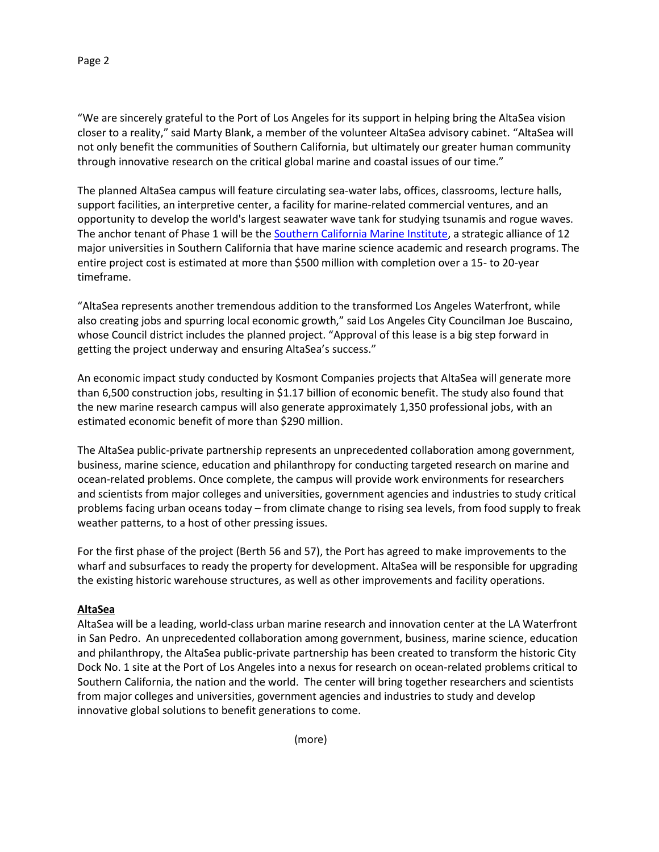### Page 2

"We are sincerely grateful to the Port of Los Angeles for its support in helping bring the AltaSea vision closer to a reality," said Marty Blank, a member of the volunteer AltaSea advisory cabinet. "AltaSea will not only benefit the communities of Southern California, but ultimately our greater human community through innovative research on the critical global marine and coastal issues of our time."

The planned AltaSea campus will feature circulating sea-water labs, offices, classrooms, lecture halls, support facilities, an interpretive center, a facility for marine-related commercial ventures, and an opportunity to develop the world's largest seawater wave tank for studying tsunamis and rogue waves. The anchor tenant of Phase 1 will be th[e Southern California Marine Institute,](http://scmi.us/) a strategic alliance of 12 major universities in Southern California that have marine science academic and research programs. The entire project cost is estimated at more than \$500 million with completion over a 15- to 20-year timeframe.

"AltaSea represents another tremendous addition to the transformed Los Angeles Waterfront, while also creating jobs and spurring local economic growth," said Los Angeles City Councilman Joe Buscaino, whose Council district includes the planned project. "Approval of this lease is a big step forward in getting the project underway and ensuring AltaSea's success."

An economic impact study conducted by Kosmont Companies projects that AltaSea will generate more than 6,500 construction jobs, resulting in \$1.17 billion of economic benefit. The study also found that the new marine research campus will also generate approximately 1,350 professional jobs, with an estimated economic benefit of more than \$290 million.

The AltaSea public-private partnership represents an unprecedented collaboration among government, business, marine science, education and philanthropy for conducting targeted research on marine and ocean-related problems. Once complete, the campus will provide work environments for researchers and scientists from major colleges and universities, government agencies and industries to study critical problems facing urban oceans today – from climate change to rising sea levels, from food supply to freak weather patterns, to a host of other pressing issues.

For the first phase of the project (Berth 56 and 57), the Port has agreed to make improvements to the wharf and subsurfaces to ready the property for development. AltaSea will be responsible for upgrading the existing historic warehouse structures, as well as other improvements and facility operations.

### **AltaSea**

AltaSea will be a leading, world-class urban marine research and innovation center at the LA Waterfront in San Pedro. An unprecedented collaboration among government, business, marine science, education and philanthropy, the AltaSea public-private partnership has been created to transform the historic City Dock No. 1 site at the Port of Los Angeles into a nexus for research on ocean-related problems critical to Southern California, the nation and the world. The center will bring together researchers and scientists from major colleges and universities, government agencies and industries to study and develop innovative global solutions to benefit generations to come.